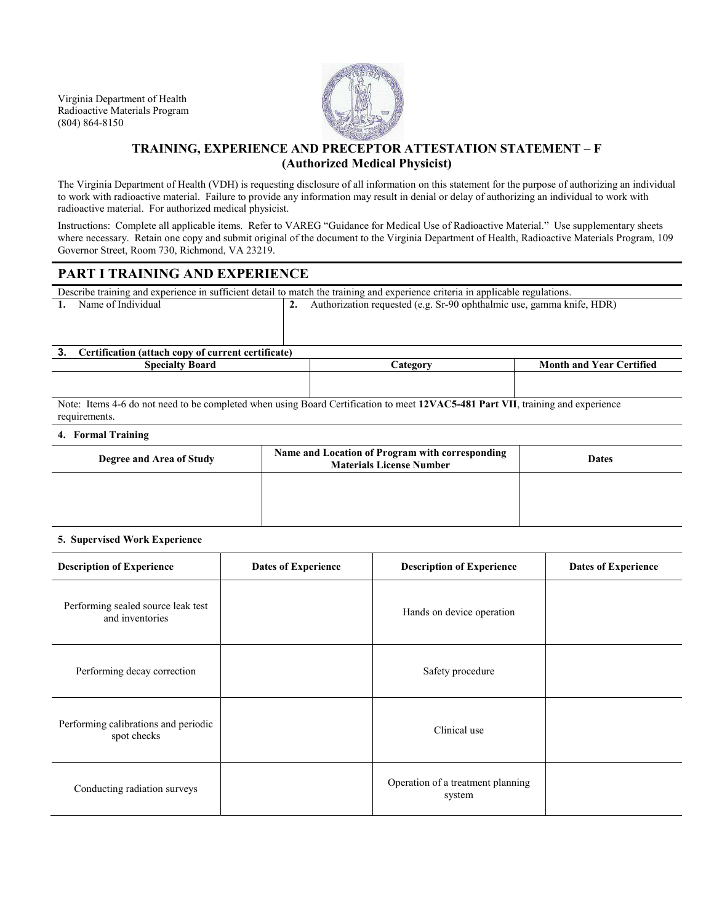Virginia Department of Health Radioactive Materials Program (804) 864-8150



## **TRAINING, EXPERIENCE AND PRECEPTOR ATTESTATION STATEMENT – F (Authorized Medical Physicist)**

The Virginia Department of Health (VDH) is requesting disclosure of all information on this statement for the purpose of authorizing an individual to work with radioactive material. Failure to provide any information may result in denial or delay of authorizing an individual to work with radioactive material. For authorized medical physicist.

Instructions: Complete all applicable items. Refer to VAREG "Guidance for Medical Use of Radioactive Material." Use supplementary sheets where necessary. Retain one copy and submit original of the document to the Virginia Department of Health, Radioactive Materials Program, 109 Governor Street, Room 730, Richmond, VA 23219.

## **PART I TRAINING AND EXPERIENCE**

Describe training and experience in sufficient detail to match the training and experience criteria in applicable regulations.

| Name of Individual |
|--------------------|
|--------------------|

**2.** Authorization requested (e.g. Sr-90 ophthalmic use, gamma knife, HDR)

# **3. Certification (attach copy of current certificate)**

**Species Category Category Month and Year Certified** Note: Items 4-6 do not need to be completed when using Board Certification to meet **12VAC5-481 Part VII**, training and experience

requirements.

### **4. Formal Training**

| Degree and Area of Study | Name and Location of Program with corresponding<br><b>Materials License Number</b> | <b>Dates</b> |
|--------------------------|------------------------------------------------------------------------------------|--------------|
|                          |                                                                                    |              |
|                          |                                                                                    |              |

#### **5. Supervised Work Experience**

| <b>Description of Experience</b>                      | <b>Dates of Experience</b> | <b>Description of Experience</b>            | <b>Dates of Experience</b> |
|-------------------------------------------------------|----------------------------|---------------------------------------------|----------------------------|
| Performing sealed source leak test<br>and inventories |                            | Hands on device operation                   |                            |
| Performing decay correction                           |                            | Safety procedure                            |                            |
| Performing calibrations and periodic<br>spot checks   |                            | Clinical use                                |                            |
| Conducting radiation surveys                          |                            | Operation of a treatment planning<br>system |                            |